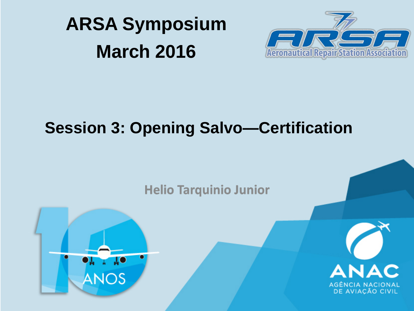



#### **Session 3: Opening Salvo—Certification**

**Helio Tarquinio Junior** 



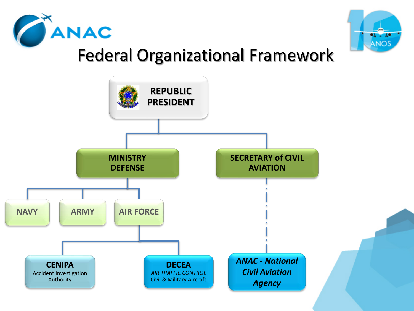



### Federal Organizational Framework

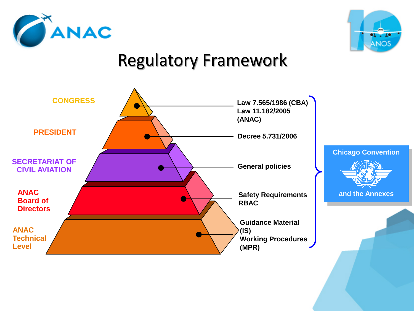



#### Regulatory Framework

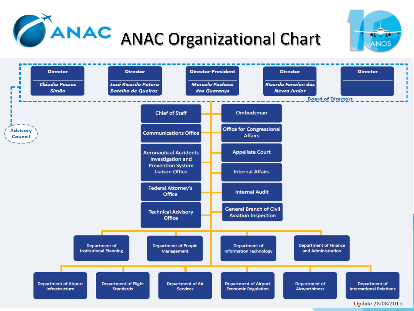





Update 28/08/2015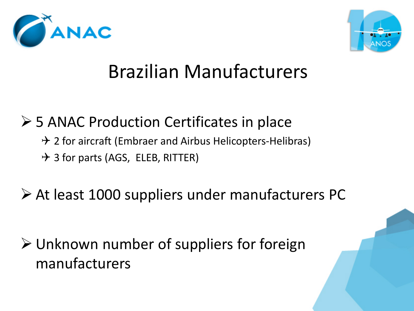



## Brazilian Manufacturers

#### **► 5 ANAC Production Certificates in place**

- $\rightarrow$  2 for aircraft (Embraer and Airbus Helicopters-Helibras)
- $\rightarrow$  3 for parts (AGS, ELEB, RITTER)

#### At least 1000 suppliers under manufacturers PC

 Unknown number of suppliers for foreign manufacturers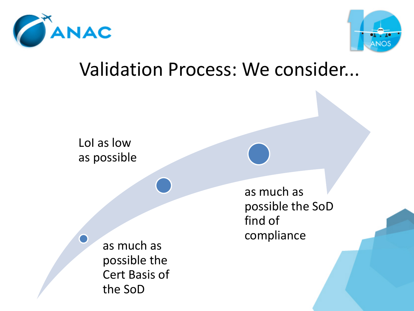



#### Validation Process: We consider...

LoI as low as possible

> as much as possible the Cert Basis of the SoD

as much as possible the SoD find of compliance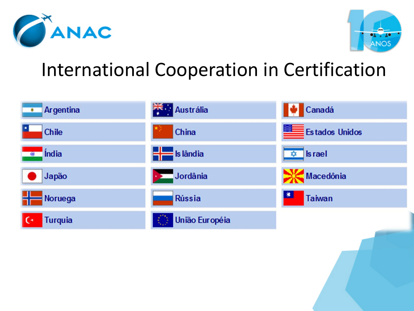



## International Cooperation in Certification

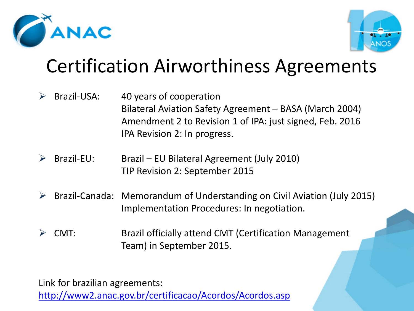



## Certification Airworthiness Agreements

- $\triangleright$  Brazil-USA: 40 years of cooperation Bilateral Aviation Safety Agreement – BASA (March 2004) Amendment 2 to Revision 1 of IPA: just signed, Feb. 2016 IPA Revision 2: In progress.
- $\triangleright$  Brazil-EU: Brazil EU Bilateral Agreement (July 2010) TIP Revision 2: September 2015
- $\triangleright$  Brazil-Canada: Memorandum of Understanding on Civil Aviation (July 2015) Implementation Procedures: In negotiation.
- CMT: Brazil officially attend CMT (Certification Management Team) in September 2015.

Link for brazilian agreements:

<http://www2.anac.gov.br/certificacao/Acordos/Acordos.asp>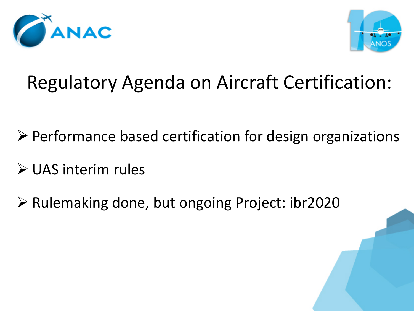



## Regulatory Agenda on Aircraft Certification:

- $\triangleright$  Performance based certification for design organizations
- UAS interim rules
- $\triangleright$  Rulemaking done, but ongoing Project: ibr2020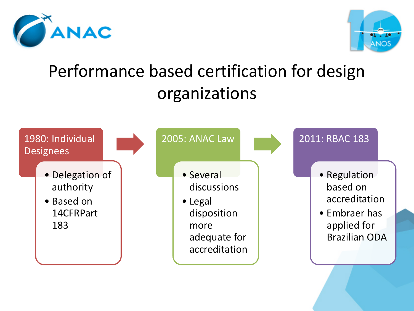



## Performance based certification for design organizations

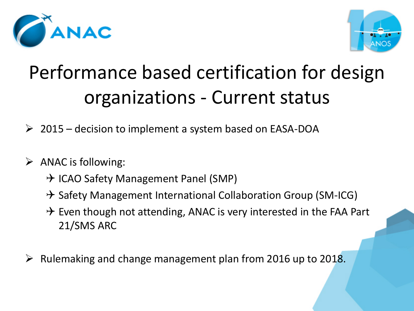



# Performance based certification for design organizations - Current status

- $\geq 2015$  decision to implement a system based on EASA-DOA
- $\triangleright$  ANAC is following:
	- $\rightarrow$  ICAO Safety Management Panel (SMP)
	- $\rightarrow$  Safety Management International Collaboration Group (SM-ICG)
	- $\rightarrow$  Even though not attending, ANAC is very interested in the FAA Part 21/SMS ARC
- $\triangleright$  Rulemaking and change management plan from 2016 up to 2018.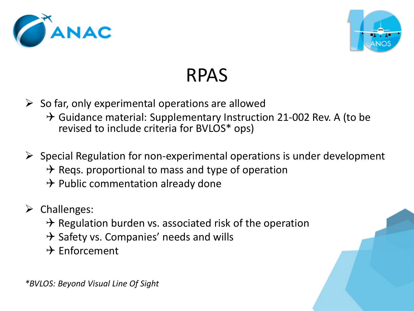



## RPAS

- $\triangleright$  So far, only experimental operations are allowed
	- $\rightarrow$  Guidance material: Supplementary Instruction 21-002 Rev. A (to be revised to include criteria for BVLOS\* ops)
- $\triangleright$  Special Regulation for non-experimental operations is under development  $\rightarrow$  Reqs. proportional to mass and type of operation  $\rightarrow$  Public commentation already done
- $\triangleright$  Challenges:
	- $\rightarrow$  Regulation burden vs. associated risk of the operation
	- $\rightarrow$  Safety vs. Companies' needs and wills
	- $\rightarrow$  Enforcement

*\*BVLOS: Beyond Visual Line Of Sight*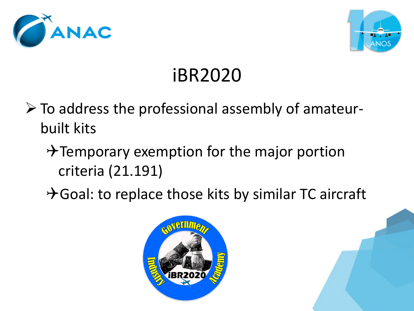



# iBR2020

- $\triangleright$  To address the professional assembly of amateurbuilt kits
	- $\rightarrow$  Temporary exemption for the major portion criteria (21.191)
	- $\rightarrow$  Goal: to replace those kits by similar TC aircraft